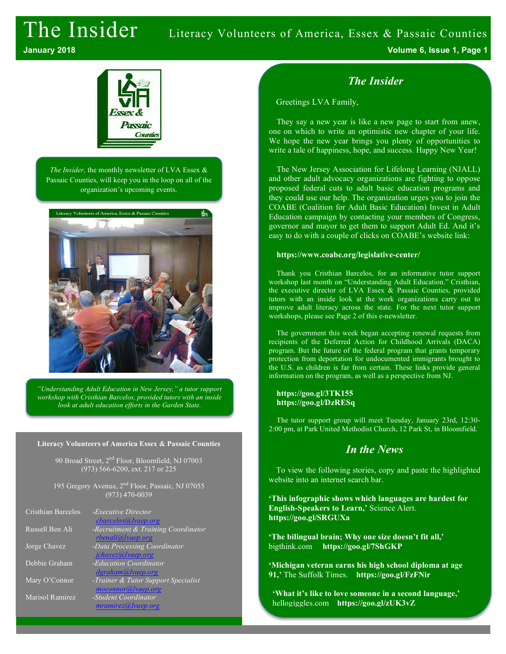# The Insider Literacy Volunteers of America, Essex & Passaic Counties



*The Insider,* the monthly newsletter of LVA Essex & Passaic Counties, will keep you in the loop on all of the organization's upcoming events.



*"Understanding Adult Education in New Jersey," a tutor support workshop with Cristhian Barcelos, provided tutors with an inside look at adult education efforts in the Garden State.*

#### **Literacy Volunteers of America Essex & Passaic Counties**

90 Broad Street,  $2<sup>nd</sup>$  Floor, Bloomfield, NJ 07003 (973) 566-6200, ext. 217 or 225

195 Gregory Avenue, 2nd Floor, Passaic, NJ 07055 (973) 470-0039

| Cristhian Barcelos | - <i>Executive Director</i><br>$charcelos(a)$ <i>lvaep.org</i> |
|--------------------|----------------------------------------------------------------|
| Russell Ben Ali    | -Recruitment & Training Coordinator<br>rbenali@lvaep.org       |
| Jorge Chavez       | -Data Processing Coordinator<br>jchavez@lvaep.org              |
| Debbie Graham      | -Education Coordinator<br>dgraham@lvaep.org                    |
| Mary O'Connor      | -Trainer & Tutor Support Specialist<br>moconnor@lvaep.org      |
| Marisol Ramirez    | -Student Coordinator<br>mramirez@ vaep.org                     |

**January 2018 Volume 6, Issue 1, Page 1**

### *The Insider*

Greetings LVA Family,

They say a new year is like a new page to start from anew, one on which to write an optimistic new chapter of your life. We hope the new year brings you plenty of opportunities to write a tale of happiness, hope, and success. Happy New Year!

The New Jersey Association for Lifelong Learning (NJALL) and other adult advocacy organizations are fighting to oppose proposed federal cuts to adult basic education programs and they could use our help. The organization urges you to join the COABE (Coalition for Adult Basic Education) Invest in Adult Education campaign by contacting your members of Congress, governor and mayor to get them to support Adult Ed. And it's easy to do with a couple of clicks on COABE's website link:

#### **https://www.coabe.org/legislative-center/**

Thank you Cristhian Barcelos, for an informative tutor support workshop last month on "Understanding Adult Education." Cristhian, the executive director of LVA Essex & Passaic Counties, provided tutors with an inside look at the work organizations carry out to improve adult literacy across the state. For the next tutor support workshops, please see Page 2 of this e-newsletter.

The government this week began accepting renewal requests from recipients of the Deferred Action for Childhood Arrivals (DACA) program. But the future of the federal program that grants temporary protection from deportation for undocumented immigrants brought to the U.S. as children is far from certain. These links provide general information on the program, as well as a perspective from NJ.

#### **https://goo.gl/3TK155 https://goo.gl/DzRESq**

The tutor support group will meet Tuesday, January 23rd, 12:30- 2:00 pm, at Park United Methodist Church, 12 Park St, in Bloomfield.

### *In the News*

To view the following stories, copy and paste the highlighted website into an internet search bar.

**'This infographic shows which languages are hardest for English-Speakers to Learn,'** Science Alert. **https://goo.gl/SRGUXa**

**'The bilingual brain; Why one size doesn't fit all,'**  bigthink.com **https://goo.gl/7ShGKP**

**'Michigan veteran earns his high school diploma at age 91,'** The Suffolk Times. **https://goo.gl/FzFNir**

**'What it's like to love someone in a second language,'**  hellogiggles.com **https://goo.gl/zUK3vZ**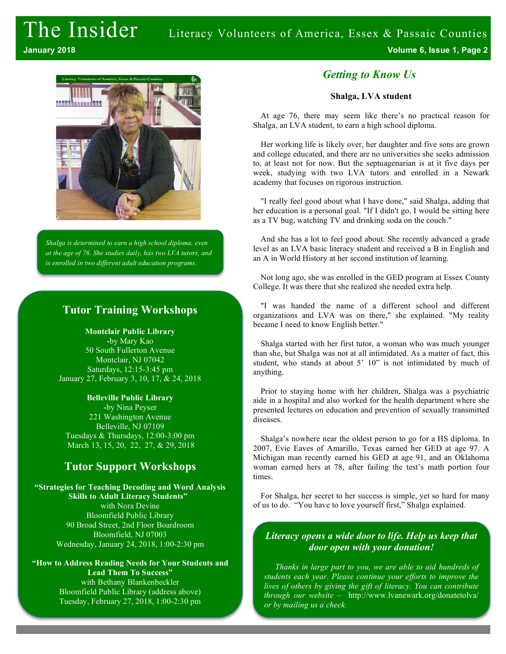

*Shalga is determined to earn a high school diploma, even at the age of 76. She studies daily, has two LVA tutors, and is enrolled in two different adult education programs.*

#### **Tutor Training Workshops**

**Montclair Public Library -**by Mary Kao 50 South Fullerton Avenue Montclair, NJ 07042 Saturdays, 12:15-3:45 pm January 27, February 3, 10, 17, & 24, 2018

**Belleville Public Library -**by Nina Peyser 221 Washington Avenue Belleville, NJ 07109 Tuesdays & Thursdays, 12:00-3:00 pm March 13, 15, 20, 22, 27, & 29, 2018

### **Tutor Support Workshops**

**"Strategies for Teaching Decoding and Word Analysis Skills to Adult Literacy Students"**  with Nora Devine Bloomfield Public Library 90 Broad Street, 2nd Floor Boardroom Bloomfield, NJ 07003 Wednesday, January 24, 2018, 1:00-2:30 pm

**"How to Address Reading Needs for Your Students and Lead Them To Success"** with Bethany Blankenbeckler Bloomfield Public Library (address above) Tuesday, February 27, 2018, 1:00-2:30 pm

#### *Getting to Know Us*

#### **Shalga, LVA student**

At age 76, there may seem like there's no practical reason for Shalga, an LVA student, to earn a high school diploma.

Her working life is likely over, her daughter and five sons are grown and college educated, and there are no universities she seeks admission to, at least not for now. But the septuagenarian is at it five days per week, studying with two LVA tutors and enrolled in a Newark academy that focuses on rigorous instruction.

"I really feel good about what I have done," said Shalga, adding that her education is a personal goal. "If I didn't go, I would be sitting here as a TV bug, watching TV and drinking soda on the couch."

And she has a lot to feel good about. She recently advanced a grade level as an LVA basic literacy student and received a B in English and an A in World History at her second institution of learning.

Not long ago, she was enrolled in the GED program at Essex County College. It was there that she realized she needed extra help.

"I was handed the name of a different school and different organizations and LVA was on there," she explained. "My reality became I need to know English better."

Shalga started with her first tutor, a woman who was much younger than she, but Shalga was not at all intimidated. As a matter of fact, this student, who stands at about 5' 10" is not intimidated by much of anything.

Prior to staying home with her children, Shalga was a psychiatric aide in a hospital and also worked for the health department where she presented lectures on education and prevention of sexually transmitted diseases.

Shalga's nowhere near the oldest person to go for a HS diploma. In 2007, Evie Eaves of Amarillo, Texas earned her GED at age 97. A Michigan man recently earned his GED at age 91, and an Oklahoma woman earned hers at 78, after failing the test's math portion four times.

For Shalga, her secret to her success is simple, yet so hard for many of us to do. "You have to love yourself first," Shalga explained.

#### *Literacy opens a wide door to life. Help us keep that door open with your donation!*

*Thanks in large part to you, we are able to aid hundreds of students each year. Please continue your efforts to improve the lives of others by giving the gift of literacy. You can contribute through our website* – http://www.lvanewark.org/donatetolva/ *or by mailing us a check.*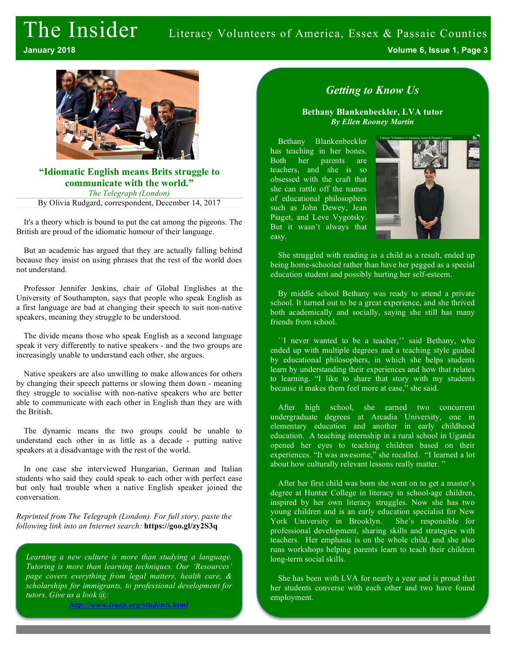# The Insider Literacy Volunteers of America, Essex & Passaic Counties

**January 2018 Volume 6, Issue 1, Page 3**



#### **"Idiomatic English means Brits struggle to communicate with the world."**

*The Telegraph (London)*

By Olivia Rudgard, correspondent, December 14, 2017

It's a theory which is bound to put the cat among the pigeons. The British are proud of the idiomatic humour of their language.

But an academic has argued that they are actually falling behind because they insist on using phrases that the rest of the world does not understand.

Professor Jennifer Jenkins, chair of Global Englishes at the University of Southampton, says that people who speak English as a first language are bad at changing their speech to suit non-native speakers, meaning they struggle to be understood.

The divide means those who speak English as a second language speak it very differently to native speakers - and the two groups are increasingly unable to understand each other, she argues.

Native speakers are also unwilling to make allowances for others by changing their speech patterns or slowing them down - meaning they struggle to socialise with non-native speakers who are better able to communicate with each other in English than they are with the British.

The dynamic means the two groups could be unable to understand each other in as little as a decade - putting native speakers at a disadvantage with the rest of the world.

In one case she interviewed Hungarian, German and Italian students who said they could speak to each other with perfect ease but only had trouble when a native English speaker joined the conversation.

*Reprinted from The Telegraph (London). For full story, paste the following link into an Internet search:* **https://goo.gl/zy2S3q**

*Learning a new culture is more than studying a language. Tutoring is more than learning techniques. Our 'Resources' page covers everything from legal matters, health care, & scholarships for immigrants, to professional development for tutors. Give us a look @:*

*http://www.lvaep.org/students.html*

## *Getting to Know Us*

**Bethany Blankenbeckler, LVA tutor** *By Ellen Rooney Martin*

Bethany Blankenbeckler has teaching in her bones. Both her parents are teachers, and she is so obsessed with the craft that she can rattle off the names of educational philosophers such as John Dewey, Jean Piaget, and Leve Vygotsky. But it wasn't always that easy.



She struggled with reading as a child as a result, ended up being home-schooled rather than have her pegged as a special education student and possibly hurting her self-esteem.

By middle school Bethany was ready to attend a private school. It turned out to be a great experience, and she thrived both academically and socially, saying she still has many friends from school.

``I never wanted to be a teacher,'' said Bethany, who ended up with multiple degrees and a teaching style guided by educational philosophers, in which she helps students learn by understanding their experiences and how that relates to learning. "I like to share that story with my students because it makes them feel more at ease," she said.

After high school, she earned two concurrent undergraduate degrees at Arcadia University, one in elementary education and another in early childhood education. A teaching internship in a rural school in Uganda opened her eyes to teaching children based on their experiences. "It was awesome," she recalled. "I learned a lot about how culturally relevant lessons really matter.'

After her first child was born she went on to get a master's degree at Hunter College in literacy in school-age children, inspired by her own literacy struggles. Now she has two young children and is an early education specialist for New York University in Brooklyn. She's responsible for professional development, sharing skills and strategies with teachers. Her emphasis is on the whole child, and she also runs workshops helping parents learn to teach their children long-term social skills.

She has been with LVA for nearly a year and is proud that her students converse with each other and two have found employment.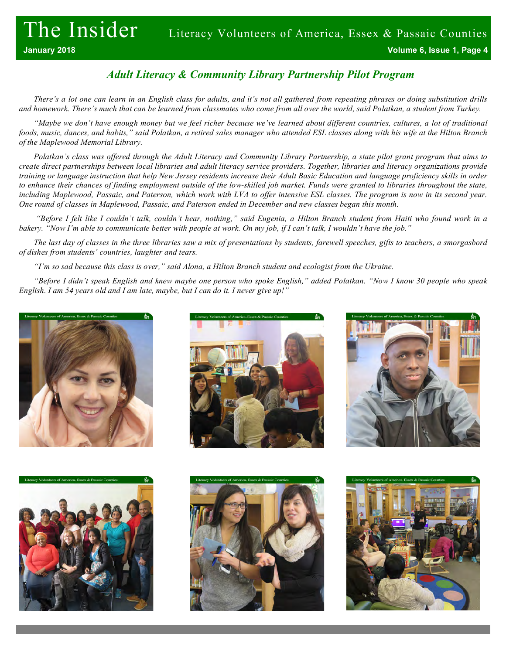# *Adult Literacy & Community Library Partnership Pilot Program*

*There's a lot one can learn in an English class for adults, and it's not all gathered from repeating phrases or doing substitution drills and homework. There's much that can be learned from classmates who come from all over the world, said Polatkan, a student from Turkey.*

*"Maybe we don't have enough money but we feel richer because we've learned about different countries, cultures, a lot of traditional foods, music, dances, and habits," said Polatkan, a retired sales manager who attended ESL classes along with his wife at the Hilton Branch of the Maplewood Memorial Library.*

*Polatkan's class was offered through the Adult Literacy and Community Library Partnership, a state pilot grant program that aims to create direct partnerships between local libraries and adult literacy service providers. Together, libraries and literacy organizations provide training or language instruction that help New Jersey residents increase their Adult Basic Education and language proficiency skills in order to enhance their chances of finding employment outside of the low-skilled job market. Funds were granted to libraries throughout the state,*  including Maplewood, Passaic, and Paterson, which work with LVA to offer intensive ESL classes. The program is now in its second year. *One round of classes in Maplewood, Passaic, and Paterson ended in December and new classes began this month.*

*"Before I felt like I couldn't talk, couldn't hear, nothing," said Eugenia, a Hilton Branch student from Haiti who found work in a bakery. "Now I'm able to communicate better with people at work. On my job, if I can't talk, I wouldn't have the job."*

*The last day of classes in the three libraries saw a mix of presentations by students, farewell speeches, gifts to teachers, a smorgasbord of dishes from students' countries, laughter and tears.*

*"I'm so sad because this class is over," said Alona, a Hilton Branch student and ecologist from the Ukraine.*

*"Before I didn't speak English and knew maybe one person who spoke English," added Polatkan. "Now I know 30 people who speak English. I am 54 years old and I am late, maybe, but I can do it. I never give up!"*